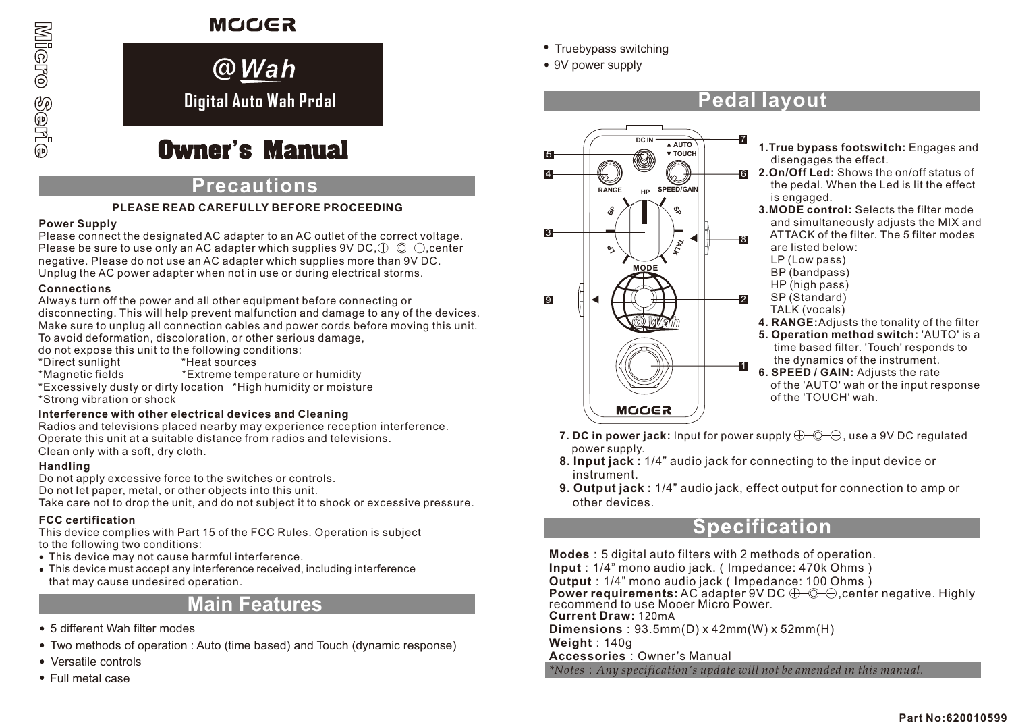# Micro Serie

# **MOOGR**

# **Digital Auto Wah Prdal @***Wah*

# **Owner's Manual**

# **Precautions**

# **PLEASE READ CAREFULLY BEFORE PROCEEDING**

### **Power Supply**

Please connect the designated AC adapter to an AC outlet of the correct voltage. Please be sure to use only an AC adapter which supplies 9V DC,  $\bigoplus$   $\bigodot$   $\bigoplus$  center negative. Please do not use an AC adapter which supplies more than 9V DC. Unplug the AC power adapter when not in use or during electrical storms.

# **Connections**

Always turn off the power and all other equipment before connecting or

disconnecting. This will help prevent malfunction and damage to any of the devices. Make sure to unplug all connection cables and power cords before moving this unit. To avoid deformation, discoloration, or other serious damage,

do not expose this unit to the following conditions:

- \*Direct sunlight<br>\*Magnetic fields
- \*Extreme temperature or humidity

\*Excessively dusty or dirty location \*High humidity or moisture \*Strong vibration or shock

### **Interference with other electrical devices and Cleaning**

Radios and televisions placed nearby may experience reception interference. Operate this unit at a suitable distance from radios and televisions. Clean only with a soft, dry cloth.

# **Handling**

Do not apply excessive force to the switches or controls. Do not let paper, metal, or other objects into this unit. Take care not to drop the unit, and do not subject it to shock or excessive pressure.

# **FCC certification**

This device complies with Part 15 of the FCC Rules. Operation is subject to the following two conditions:

- This device may not cause harmful interference.
- This device must accept any interference received, including interference that may cause undesired operation.

# **Main Features**

- 5 different Wah filter modes
- Two methods of operation : Auto (time based) and Touch (dynamic response)
- Versatile controls
- Full metal case
- Truebypass switching
- 9V power supply

# **Pedal layout**



- **1.True bypass footswitch:** Engages and disengages the effect.
- **2.On/Off Led:** Shows the on/off status of the pedal. When the Led is lit the effect is engaged.
	- **3.MODE control:** Selects the filter mode and simultaneously adjusts the MIX and ATTACK of the filter. The 5 filter modes are listed below:
		- LP (Low pass)
		- BP (bandpass)
	- HP (high pass)
	- SP (Standard)
	- TALK (vocals)
	- **4. RANGE:**Adjusts the tonality of the filter
	- **5. Operation method switch:** 'AUTO' is a time based filter. 'Touch' responds to the dynamics of the instrument.
	- **6. SPEED / GAIN:** Adjusts the rate of the 'AUTO' wah or the input response of the 'TOUCH' wah.
- **7. DC in power jack:** Input for power supply  $\bigoplus$   $\bigoplus$   $\bigoplus$ , use a 9V DC regulated power supply.
- **8. Input jack :** 1/4" audio jack for connecting to the input device or instrument.
- **9. Output jack :** 1/4" audio jack, effect output for connection to amp or other devices.

# **Specification**

**Modes**:5 digital auto filters with 2 methods of operation. **Input**:1/4" mono audio jack.(Impedance: 470k Ohms) **Output**:1/4" mono audio jack(Impedance: 100 Ohms) **Power requirements:** AC adapter 9V DC  $\bigoplus$   $\bigoplus$  center negative. Highly recommend to use Mooer Micro Power. **Current Draw:** 120mA **Dimensions**:93.5mm(D) x 42mm(W) x 52mm(H) **Weight**:140g **Accessories**:Owner's Manual *\*Notes*:*Any specification's update will not be amended in this manual.*